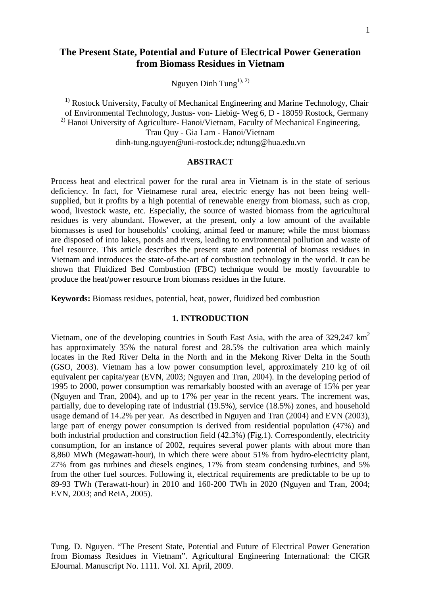# **The Present State, Potential and Future of Electrical Power Generation from Biomass Residues in Vietnam**

Nguyen Dinh Tung<sup>1), 2)</sup>

<sup>1)</sup> Rostock University, Faculty of Mechanical Engineering and Marine Technology, Chair of Environmental Technology, Justus- von- Liebig- Weg 6, D - 18059 Rostock, Germany <sup>2)</sup> Hanoi University of Agriculture- Hanoi/Vietnam, Faculty of Mechanical Engineering, Trau Quy - Gia Lam - Hanoi/Vietnam dinh-tung.nguyen@uni-rostock.de; ndtung@hua.edu.vn

### **ABSTRACT**

Process heat and electrical power for the rural area in Vietnam is in the state of serious deficiency. In fact, for Vietnamese rural area, electric energy has not been being wellsupplied, but it profits by a high potential of renewable energy from biomass, such as crop, wood, livestock waste, etc. Especially, the source of wasted biomass from the agricultural residues is very abundant. However, at the present, only a low amount of the available biomasses is used for households' cooking, animal feed or manure; while the most biomass are disposed of into lakes, ponds and rivers, leading to environmental pollution and waste of fuel resource. This article describes the present state and potential of biomass residues in Vietnam and introduces the state-of-the-art of combustion technology in the world. It can be shown that Fluidized Bed Combustion (FBC) technique would be mostly favourable to produce the heat/power resource from biomass residues in the future.

**Keywords:** Biomass residues, potential, heat, power, fluidized bed combustion

#### **1. INTRODUCTION**

Vietnam, one of the developing countries in South East Asia, with the area of  $329.247 \text{ km}^2$ has approximately 35% the natural forest and 28.5% the cultivation area which mainly locates in the Red River Delta in the North and in the Mekong River Delta in the South (GSO, 2003). Vietnam has a low power consumption level, approximately 210 kg of oil equivalent per capita/year (EVN, 2003; Nguyen and Tran, 2004). In the developing period of 1995 to 2000, power consumption was remarkably boosted with an average of 15% per year (Nguyen and Tran, 2004), and up to 17% per year in the recent years. The increment was, partially, due to developing rate of industrial (19.5%), service (18.5%) zones, and household usage demand of 14.2% per year. As described in Nguyen and Tran (2004) and EVN (2003), large part of energy power consumption is derived from residential population (47%) and both industrial production and construction field (42.3%) (Fig.1). Correspondently, electricity consumption, for an instance of 2002, requires several power plants with about more than 8,860 MWh (Megawatt-hour), in which there were about 51% from hydro-electricity plant, 27% from gas turbines and diesels engines, 17% from steam condensing turbines, and 5% from the other fuel sources. Following it, electrical requirements are predictable to be up to 89-93 TWh (Terawatt-hour) in 2010 and 160-200 TWh in 2020 (Nguyen and Tran, 2004; EVN, 2003; and ReiA, 2005).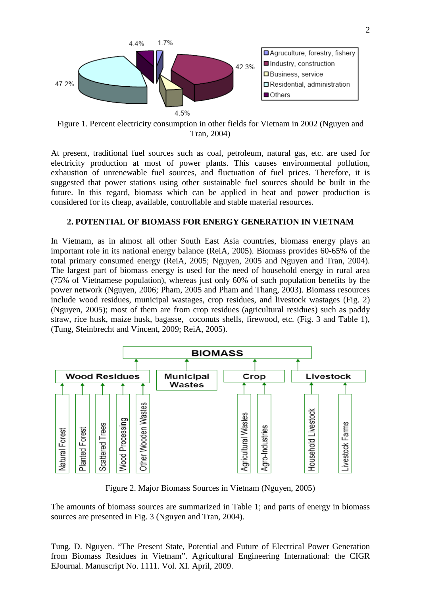

Figure 1. Percent electricity consumption in other fields for Vietnam in 2002 (Nguyen and Tran, 2004)

At present, traditional fuel sources such as coal, petroleum, natural gas, etc. are used for electricity production at most of power plants. This causes environmental pollution, exhaustion of unrenewable fuel sources, and fluctuation of fuel prices. Therefore, it is suggested that power stations using other sustainable fuel sources should be built in the future. In this regard, biomass which can be applied in heat and power production is considered for its cheap, available, controllable and stable material resources.

### **2. POTENTIAL OF BIOMASS FOR ENERGY GENERATION IN VIETNAM**

In Vietnam, as in almost all other South East Asia countries, biomass energy plays an important role in its national energy balance (ReiA, 2005). Biomass provides 60-65% of the total primary consumed energy (ReiA, 2005; Nguyen, 2005 and Nguyen and Tran, 2004). The largest part of biomass energy is used for the need of household energy in rural area (75% of Vietnamese population), whereas just only 60% of such population benefits by the power network (Nguyen, 2006; Pham, 2005 and Pham and Thang, 2003). Biomass resources include wood residues, municipal wastages, crop residues, and livestock wastages (Fig. 2) (Nguyen, 2005); most of them are from crop residues (agricultural residues) such as paddy straw, rice husk, maize husk, bagasse, coconuts shells, firewood, etc. (Fig. 3 and Table 1), (Tung, Steinbrecht and Vincent, 2009; ReiA, 2005).



Figure 2. Major Biomass Sources in Vietnam (Nguyen, 2005)

The amounts of biomass sources are summarized in Table 1; and parts of energy in biomass sources are presented in Fig. 3 (Nguyen and Tran, 2004).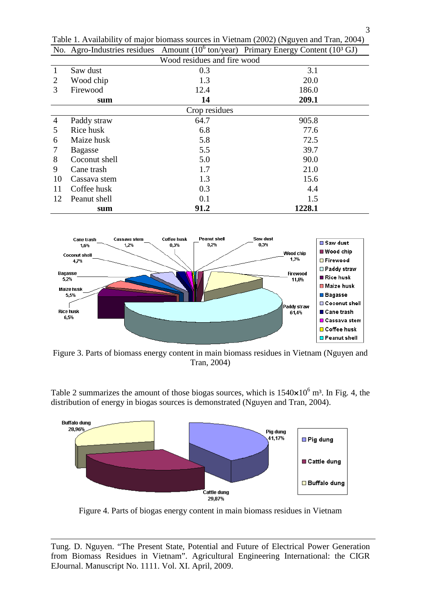| ັັ<br>Wood residues and fire wood |                |      |        |  |  |
|-----------------------------------|----------------|------|--------|--|--|
|                                   | Saw dust       | 0.3  | 3.1    |  |  |
| 2                                 | Wood chip      | 1.3  | 20.0   |  |  |
| 3                                 | Firewood       | 12.4 | 186.0  |  |  |
|                                   | sum            | 14   | 209.1  |  |  |
| Crop residues                     |                |      |        |  |  |
| 4                                 | Paddy straw    | 64.7 | 905.8  |  |  |
| 5                                 | Rice husk      | 6.8  | 77.6   |  |  |
| 6                                 | Maize husk     | 5.8  | 72.5   |  |  |
| 7                                 | <b>Bagasse</b> | 5.5  | 39.7   |  |  |
| 8                                 | Coconut shell  | 5.0  | 90.0   |  |  |
| 9                                 | Cane trash     | 1.7  | 21.0   |  |  |
| 10                                | Cassava stem   | 1.3  | 15.6   |  |  |
| 11                                | Coffee husk    | 0.3  | 4.4    |  |  |
| 12                                | Peanut shell   | 0.1  | 1.5    |  |  |
|                                   | sum            | 91.2 | 1228.1 |  |  |

Table 1. Availability of major biomass sources in Vietnam (2002) (Nguyen and Tran, 2004) No. Agro-Industries residues Amount  $(10^6 \text{ ton/year})$  Primary Energy Content  $(10^3 \text{ GJ})$ 



Figure 3. Parts of biomass energy content in main biomass residues in Vietnam (Nguyen and Tran, 2004)

Table 2 summarizes the amount of those biogas sources, which is  $1540\times10^6$  m<sup>3</sup>. In Fig. 4, the distribution of energy in biogas sources is demonstrated (Nguyen and Tran, 2004).



Figure 4. Parts of biogas energy content in main biomass residues in Vietnam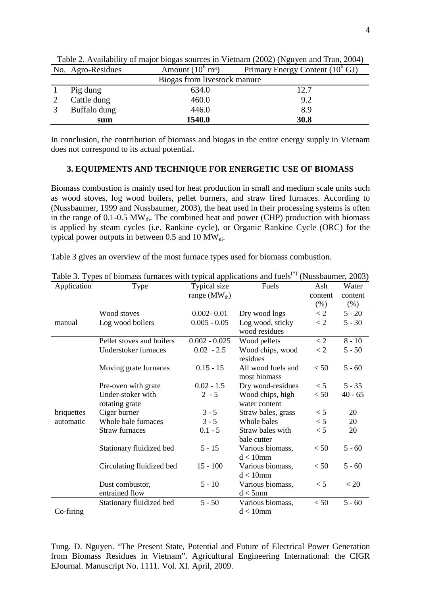|                              | $\ldots$<br>$\frac{1}{2}$ and $\frac{1}{2}$ are $\frac{1}{2}$ and $\frac{1}{2}$ are $\frac{1}{2}$ and $\frac{1}{2}$ are $\frac{1}{2}$ and $\frac{1}{2}$ are $\frac{1}{2}$ and $\frac{1}{2}$ are $\frac{1}{2}$ and $\frac{1}{2}$ are $\frac{1}{2}$ and $\frac{1}{2}$ are $\frac{1}{2}$ and $\frac{1}{2}$ a |                             |                                            |  |  |  |
|------------------------------|-----------------------------------------------------------------------------------------------------------------------------------------------------------------------------------------------------------------------------------------------------------------------------------------------------------|-----------------------------|--------------------------------------------|--|--|--|
|                              | No. Agro-Residues                                                                                                                                                                                                                                                                                         | Amount $(10^6 \text{ m}^3)$ | Primary Energy Content $(10^6 \text{ GJ})$ |  |  |  |
| Biogas from livestock manure |                                                                                                                                                                                                                                                                                                           |                             |                                            |  |  |  |
|                              | Pig dung                                                                                                                                                                                                                                                                                                  | 634.0                       | 12.7                                       |  |  |  |
|                              | Cattle dung                                                                                                                                                                                                                                                                                               | 460.0                       | 9.2                                        |  |  |  |
|                              | Buffalo dung                                                                                                                                                                                                                                                                                              | 446.0                       | 8.9                                        |  |  |  |
|                              | sum                                                                                                                                                                                                                                                                                                       | 1540.0                      | 30.8                                       |  |  |  |

Table 2. Availability of major biogas sources in Vietnam (2002) (Nguyen and Tran, 2004)

In conclusion, the contribution of biomass and biogas in the entire energy supply in Vietnam does not correspond to its actual potential.

#### **3. EQUIPMENTS AND TECHNIQUE FOR ENERGETIC USE OF BIOMASS**

Biomass combustion is mainly used for heat production in small and medium scale units such as wood stoves, log wood boilers, pellet burners, and straw fired furnaces. According to (Nussbaumer, 1999 and Nussbaumer, 2003), the heat used in their processing systems is often in the range of  $0.1$ -0.5 MW<sub>th</sub>. The combined heat and power (CHP) production with biomass is applied by steam cycles (i.e. Rankine cycle), or Organic Rankine Cycle (ORC) for the typical power outputs in between  $0.5$  and  $10 \text{ MW}_{el}$ .

| Application | Type                              | Typical size      | Fuels                              | Ash     | Water     |
|-------------|-----------------------------------|-------------------|------------------------------------|---------|-----------|
|             |                                   | range $(MW_{th})$ |                                    | content | content   |
|             |                                   |                   |                                    | (% )    | $(\%)$    |
|             | Wood stoves                       | $0.002 - 0.01$    | Dry wood logs                      | $<$ 2   | $5 - 20$  |
| manual      | Log wood boilers                  | $0.005 - 0.05$    | Log wood, sticky                   | $<$ 2   | $5 - 30$  |
|             |                                   |                   | wood residues                      |         |           |
|             | Pellet stoves and boilers         | $0.002 - 0.025$   | Wood pellets                       | < 2     | $8 - 10$  |
|             | Understoker furnaces              | $0.02 - 2.5$      | Wood chips, wood<br>residues       | $<$ 2   | $5 - 50$  |
|             | Moving grate furnaces             | $0.15 - 15$       | All wood fuels and<br>most biomass | < 50    | $5 - 60$  |
|             | Pre-oven with grate               | $0.02 - 1.5$      | Dry wood-residues                  | $\lt$ 5 | $5 - 35$  |
|             | Under-stoker with                 | $2 - 5$           | Wood chips, high                   | < 50    | $40 - 65$ |
|             | rotating grate                    |                   | water content                      |         |           |
| briquettes  | Cigar burner                      | $3 - 5$           | Straw bales, grass                 | < 5     | 20        |
| automatic   | Whole bale furnaces               | $3 - 5$           | Whole bales                        | < 5     | 20        |
|             | <b>Straw furnaces</b>             | $0.1 - 5$         | Straw bales with<br>bale cutter    | < 5     | 20        |
|             | Stationary fluidized bed          | $5 - 15$          | Various biomass,<br>$d < 10$ mm    | < 50    | $5 - 60$  |
|             | Circulating fluidized bed         | $15 - 100$        | Various biomass,<br>$d < 10$ mm    | < 50    | $5 - 60$  |
|             | Dust combustor,<br>entrained flow | $5 - 10$          | Various biomass,<br>$d < 5$ mm     | < 5     | < 20      |
| Co-firing   | Stationary fluidized bed          | $5 - 50$          | Various biomass,<br>$d < 10$ mm    | < 50    | $5 - 60$  |

Table 3 gives an overview of the most furnace types used for biomass combustion.

Tung. D. Nguyen. "The Present State, Potential and Future of Electrical Power Generation from Biomass Residues in Vietnam". Agricultural Engineering International: the CIGR EJournal. Manuscript No. 1111. Vol. XI. April, 2009.

Table 3. Types of biomass furnaces with typical applications and fuels<sup>(\*)</sup> (Nussbaumer, 2003)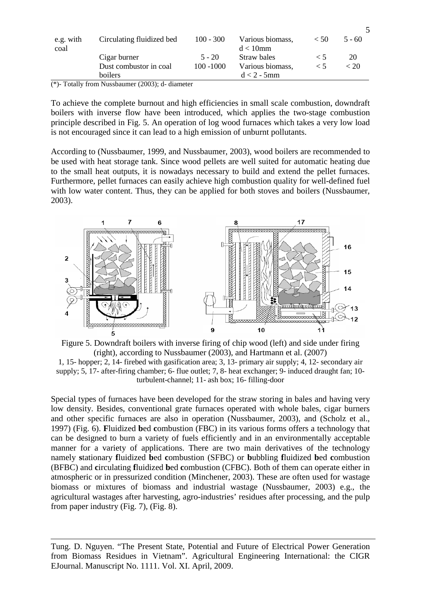| e.g. with<br>coal | Circulating fluidized bed | $100 - 300$  | Various biomass,<br>$d < 10$ mm | < 50  | $5 - 60$ |
|-------------------|---------------------------|--------------|---------------------------------|-------|----------|
|                   | Cigar burner              | $5 - 20$     | Straw bales                     | $<$ 1 | 20       |
|                   | Dust combustor in coal    | $100 - 1000$ | Various biomass,                |       | < 20     |
|                   | boilers                   |              | $d < 2$ - 5mm                   |       |          |

5

(\*)- Totally from Nussbaumer (2003); d- diameter

To achieve the complete burnout and high efficiencies in small scale combustion, downdraft boilers with inverse flow have been introduced, which applies the two-stage combustion principle described in Fig. 5. An operation of log wood furnaces which takes a very low load is not encouraged since it can lead to a high emission of unburnt pollutants.

According to (Nussbaumer, 1999, and Nussbaumer, 2003), wood boilers are recommended to be used with heat storage tank. Since wood pellets are well suited for automatic heating due to the small heat outputs, it is nowadays necessary to build and extend the pellet furnaces. Furthermore, pellet furnaces can easily achieve high combustion quality for well-defined fuel with low water content. Thus, they can be applied for both stoves and boilers (Nussbaumer, 2003).



Figure 5. Downdraft boilers with inverse firing of chip wood (left) and side under firing (right), according to Nussbaumer (2003), and Hartmann et al. (2007)

1, 15- hopper; 2, 14- firebed with gasification area; 3, 13- primary air supply; 4, 12- secondary air supply; 5, 17- after-firing chamber; 6- flue outlet; 7, 8- heat exchanger; 9- induced draught fan; 10 turbulent-channel; 11- ash box; 16- filling-door

Special types of furnaces have been developed for the straw storing in bales and having very low density. Besides, conventional grate furnaces operated with whole bales, cigar burners and other specific furnaces are also in operation (Nussbaumer, 2003), and (Scholz et al., 1997) (Fig. 6). **F**luidized **b**ed **c**ombustion (FBC) in its various forms offers a technology that can be designed to burn a variety of fuels efficiently and in an environmentally acceptable manner for a variety of applications. There are two main derivatives of the technology namely **s**tationary **f**luidized **b**ed **c**ombustion (SFBC) or **b**ubbling **f**luidized **b**ed **c**ombustion (BFBC) and **c**irculating **f**luidized **b**ed **c**ombustion (CFBC). Both of them can operate either in atmospheric or in pressurized condition (Minchener, 2003). These are often used for wastage biomass or mixtures of biomass and industrial wastage (Nussbaumer, 2003) e.g., the agricultural wastages after harvesting, agro-industries' residues after processing, and the pulp from paper industry (Fig. 7), (Fig. 8).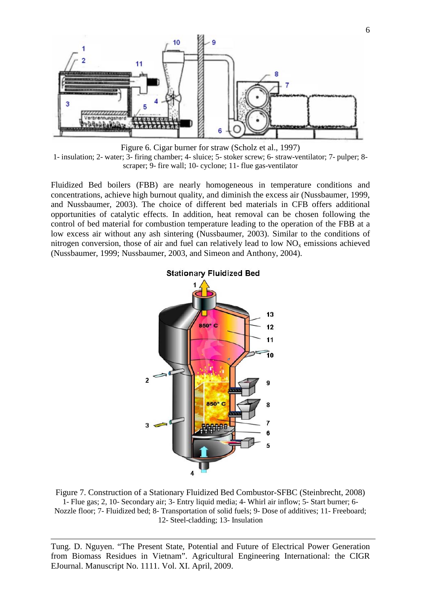

Figure 6. Cigar burner for straw (Scholz et al., 1997) 1- insulation; 2- water; 3- firing chamber; 4- sluice; 5- stoker screw; 6- straw-ventilator; 7- pulper; 8 scraper; 9- fire wall; 10- cyclone; 11- flue gas-ventilator

Fluidized Bed boilers (FBB) are nearly homogeneous in temperature conditions and concentrations, achieve high burnout quality, and diminish the excess air (Nussbaumer, 1999, and Nussbaumer, 2003). The choice of different bed materials in CFB offers additional opportunities of catalytic effects. In addition, heat removal can be chosen following the control of bed material for combustion temperature leading to the operation of the FBB at a low excess air without any ash sintering (Nussbaumer, 2003). Similar to the conditions of nitrogen conversion, those of air and fuel can relatively lead to low  $NO<sub>x</sub>$  emissions achieved (Nussbaumer, 1999; Nussbaumer, 2003, and Simeon and Anthony, 2004).



Figure 7. Construction of a Stationary Fluidized Bed Combustor-SFBC (Steinbrecht, 2008) 1- Flue gas; 2, 10- Secondary air; 3- Entry liquid media; 4- Whirl air inflow; 5- Start burner; 6- Nozzle floor; 7- Fluidized bed; 8- Transportation of solid fuels; 9- Dose of additives; 11- Freeboard; 12- Steel-cladding; 13- Insulation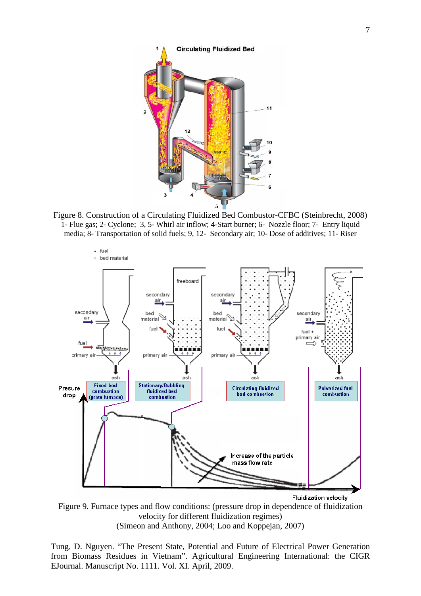

Figure 8. Construction of a Circulating Fluidized Bed Combustor-CFBC (Steinbrecht, 2008) 1- Flue gas; 2- Cyclone; 3, 5- Whirl air inflow; 4-Start burner; 6- Nozzle floor; 7- Entry liquid media; 8- Transportation of solid fuels; 9, 12- Secondary air; 10- Dose of additives; 11- Riser



**Fluidization velocity** 

Figure 9. Furnace types and flow conditions: (pressure drop in dependence of fluidization velocity for different fluidization regimes) (Simeon and Anthony, 2004; Loo and Koppejan, 2007)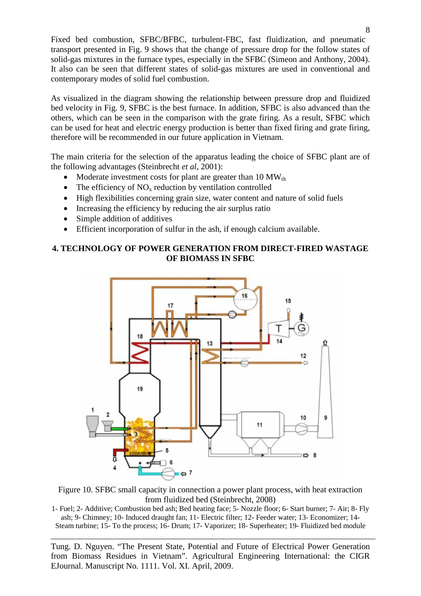Fixed bed combustion, SFBC/BFBC, turbulent-FBC, fast fluidization, and pneumatic transport presented in Fig. 9 shows that the change of pressure drop for the follow states of solid-gas mixtures in the furnace types, especially in the SFBC (Simeon and Anthony, 2004). It also can be seen that different states of solid-gas mixtures are used in conventional and contemporary modes of solid fuel combustion.

As visualized in the diagram showing the relationship between pressure drop and fluidized bed velocity in Fig. 9, SFBC is the best furnace. In addition, SFBC is also advanced than the others, which can be seen in the comparison with the grate firing. As a result, SFBC which can be used for heat and electric energy production is better than fixed firing and grate firing, therefore will be recommended in our future application in Vietnam.

The main criteria for the selection of the apparatus leading the choice of SFBC plant are of the following advantages (Steinbrecht *et al*, 2001):

- Moderate investment costs for plant are greater than  $10 \text{ MW}_{th}$
- The efficiency of  $NO<sub>x</sub>$  reduction by ventilation controlled
- High flexibilities concerning grain size, water content and nature of solid fuels
- Increasing the efficiency by reducing the air surplus ratio
- Simple addition of additives
- Efficient incorporation of sulfur in the ash, if enough calcium available.

# **4. TECHNOLOGY OF POWER GENERATION FROM DIRECT-FIRED WASTAGE OF BIOMASS IN SFBC**



Figure 10. SFBC small capacity in connection a power plant process, with heat extraction from fluidized bed (Steinbrecht, 2008)

1- Fuel; 2- Additive; Combustion bed ash; Bed heating face; 5- Nozzle floor; 6- Start burner; 7- Air; 8- Fly ash; 9- Chimney; 10- Induced draught fan; 11- Electric filter; 12- Feeder water; 13- Economizer; 14- Steam turbine; 15- To the process; 16- Drum; 17- Vaporizer; 18- Superheater; 19- Fluidized bed module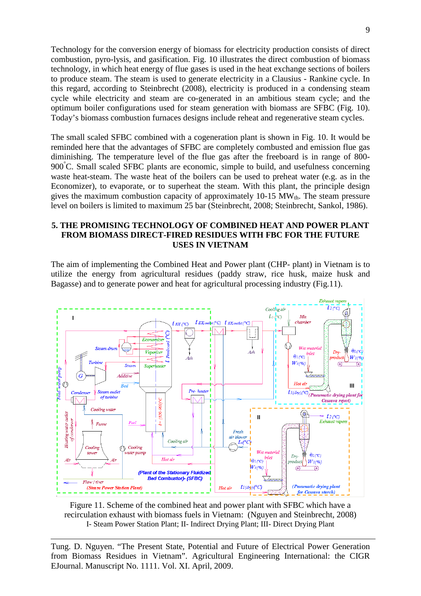Technology for the conversion energy of biomass for electricity production consists of direct combustion, pyro-lysis, and gasification. Fig. 10 illustrates the direct combustion of biomass technology, in which heat energy of flue gases is used in the heat exchange sections of boilers to produce steam. The steam is used to generate electricity in a Clausius - Rankine cycle. In this regard, according to Steinbrecht (2008), electricity is produced in a condensing steam cycle while electricity and steam are co-generated in an ambitious steam cycle; and the optimum boiler configurations used for steam generation with biomass are SFBC (Fig. 10). Today's biomass combustion furnaces designs include reheat and regenerative steam cycles.

The small scaled SFBC combined with a cogeneration plant is shown in Fig. 10. It would be reminded here that the advantages of SFBC are completely combusted and emission flue gas diminishing. The temperature level of the flue gas after the freeboard is in range of 800- 900°C. Small scaled SFBC plants are economic, simple to build, and usefulness concerning waste heat-steam. The waste heat of the boilers can be used to preheat water (e.g. as in the Economizer), to evaporate, or to superheat the steam. With this plant, the principle design gives the maximum combustion capacity of approximately  $10-15$  MW $_{th}$ . The steam pressure level on boilers is limited to maximum 25 bar (Steinbrecht, 2008; Steinbrecht, Sankol, 1986).

### **5. THE PROMISING TECHNOLOGY OF COMBINED HEAT AND POWER PLANT FROM BIOMASS DIRECT-FIRED RESIDUES WITH FBC FOR THE FUTURE USES IN VIETNAM**

The aim of implementing the Combined Heat and Power plant (CHP- plant) in Vietnam is to utilize the energy from agricultural residues (paddy straw, rice husk, maize husk and Bagasse) and to generate power and heat for agricultural processing industry (Fig.11).



Figure 11. Scheme of the combined heat and power plant with SFBC which have a recirculation exhaust with biomass fuels in Vietnam: (Nguyen and Steinbrecht, 2008) I- Steam Power Station Plant; II- Indirect Drying Plant; III- Direct Drying Plant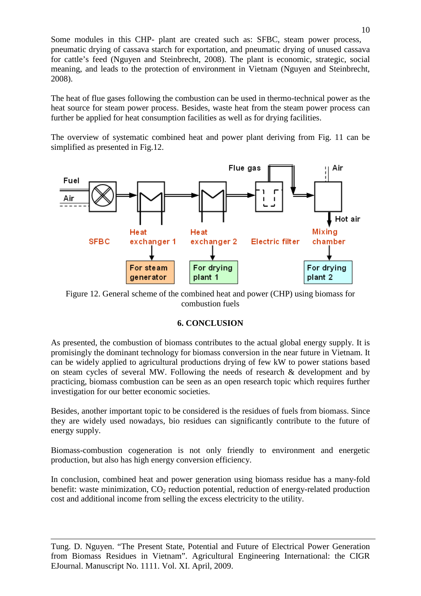Some modules in this CHP- plant are created such as: SFBC, steam power process, pneumatic drying of cassava starch for exportation, and pneumatic drying of unused cassava for cattle's feed (Nguyen and Steinbrecht, 2008). The plant is economic, strategic, social meaning, and leads to the protection of environment in Vietnam (Nguyen and Steinbrecht, 2008).

The heat of flue gases following the combustion can be used in thermo-technical power as the heat source for steam power process. Besides, waste heat from the steam power process can further be applied for heat consumption facilities as well as for drying facilities.

The overview of systematic combined heat and power plant deriving from Fig. 11 can be simplified as presented in Fig.12.



Figure 12. General scheme of the combined heat and power (CHP) using biomass for combustion fuels

# **6. CONCLUSION**

As presented, the combustion of biomass contributes to the actual global energy supply. It is promisingly the dominant technology for biomass conversion in the near future in Vietnam. It can be widely applied to agricultural productions drying of few kW to power stations based on steam cycles of several MW. Following the needs of research & development and by practicing, biomass combustion can be seen as an open research topic which requires further investigation for our better economic societies.

Besides, another important topic to be considered is the residues of fuels from biomass. Since they are widely used nowadays, bio residues can significantly contribute to the future of energy supply.

Biomass-combustion cogeneration is not only friendly to environment and energetic production, but also has high energy conversion efficiency.

In conclusion, combined heat and power generation using biomass residue has a many-fold benefit: waste minimization,  $CO<sub>2</sub>$  reduction potential, reduction of energy-related production cost and additional income from selling the excess electricity to the utility.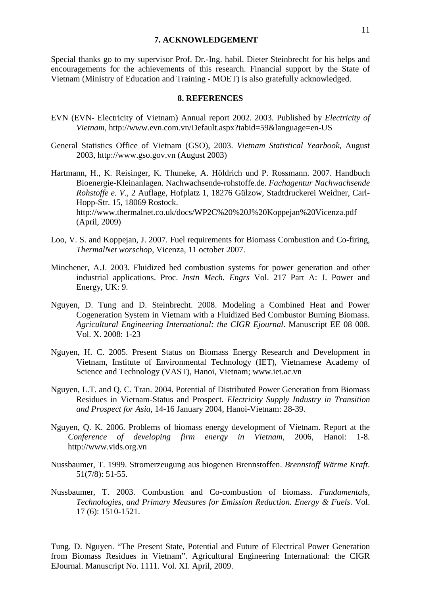#### **7. ACKNOWLEDGEMENT**

Special thanks go to my supervisor Prof. Dr.-Ing. habil. Dieter Steinbrecht for his helps and encouragements for the achievements of this research. Financial support by the State of Vietnam (Ministry of Education and Training - MOET) is also gratefully acknowledged.

### **8. REFERENCES**

- EVN (EVN- Electricity of Vietnam) Annual report 2002. 2003. Published by *Electricity of Vietnam*,<http://www.evn.com.vn/Default.aspx?tabid=59&language=en-US>
- General Statistics Office of Vietnam (GSO), 2003. *Vietnam Statistical Yearbook*, August 2003, http://www.gso.gov.vn (August 2003)
- Hartmann, H., K. Reisinger, K. Thuneke, A. Höldrich und P. Rossmann. 2007. Handbuch Bioenergie-Kleinanlagen. Nachwachsende-rohstoffe.de. *Fachagentur Nachwachsende Rohstoffe e. V.*, 2 Auflage, Hofplatz 1, 18276 Gülzow, Stadtdruckerei Weidner, Carl-Hopp-Str. 15, 18069 Rostock. http://www.thermalnet.co.uk/docs/WP2C%20%20J%20Koppejan%20Vicenza.pdf (April, 2009)
- Loo, V. S. and Koppejan, J. 2007. Fuel requirements for Biomass Combustion and Co-firing, *ThermalNet worschop*, Vicenza, 11 october 2007.
- Minchener, A.J. 2003. Fluidized bed combustion systems for power generation and other industrial applications. Proc. *Instn Mech. Engrs* Vol. 217 Part A: J. Power and Energy, UK: 9.
- Nguyen, D. Tung and D. Steinbrecht. 2008. Modeling a Combined Heat and Power Cogeneration System in Vietnam with a Fluidized Bed Combustor Burning Biomass. *Agricultural Engineering International: the CIGR Ejournal*. Manuscript EE 08 008. Vol. X. 2008: 1-23
- Nguyen, H. C. 2005. Present Status on Biomass Energy Research and Development in Vietnam, Institute of Environmental Technology (IET), Vietnamese Academy of Science and Technology (VAST), Hanoi, Vietnam; www.iet.ac.vn
- Nguyen, L.T. and Q. C. Tran. 2004. Potential of Distributed Power Generation from Biomass Residues in Vietnam-Status and Prospect. *Electricity Supply Industry in Transition and Prospect for Asia*, 14-16 January 2004, Hanoi-Vietnam: 28-39.
- Nguyen, Q. K. 2006. Problems of biomass energy development of Vietnam. Report at the *Conference of developing firm energy in Vietnam*, 2006, Hanoi: 1-8. [http://www.vids.org.vn](http://www.vids.org.vn/)
- Nussbaumer, T. 1999. Stromerzeugung aus biogenen Brennstoffen. *Brennstoff Wärme Kraft*. 51(7/8): 51-55.
- Nussbaumer, T. 2003. Combustion and Co-combustion of biomass. *Fundamentals, Technologies, and Primary Measures for Emission Reduction. Energy & Fuels*. Vol. 17 (6): 1510-1521.